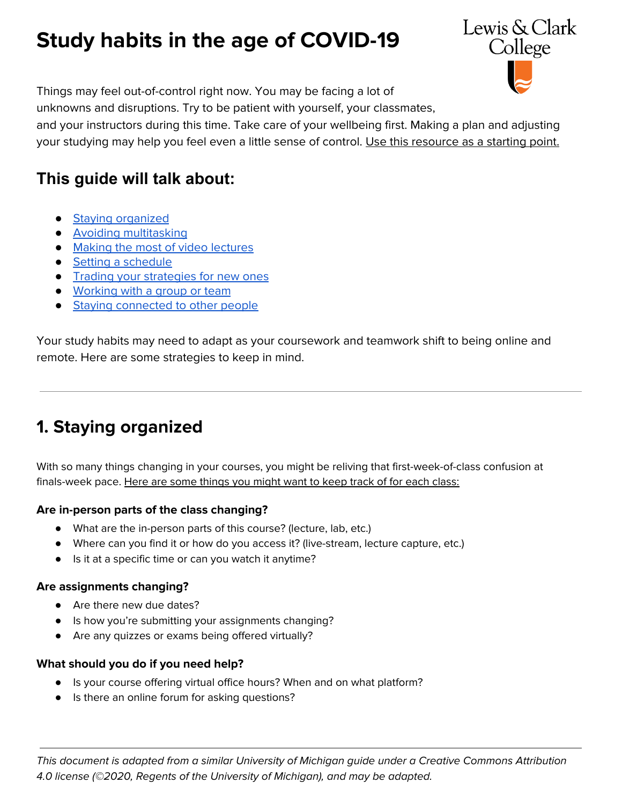# **Study habits in the age of COVID-19**



Things may feel out-of-control right now. You may be facing a lot of

unknowns and disruptions. Try to be patient with yourself, your classmates,

and your instructors during this time. Take care of your wellbeing first. Making a plan and adjusting your studying may help you feel even a little sense of control. Use this resource as a starting point.

### **This guide will talk about:**

- Staying [organized](#page-0-0)
- Avoiding [multitasking](#page-1-0)
- Making the most of video [lectures](#page-1-1)
- Setting a [schedule](#page-2-0)
- Trading your [strategies](#page-2-1) for new ones
- [Working](#page-2-2) with a group or team
- Staying [connected](#page-3-0) to other people

Your study habits may need to adapt as your coursework and teamwork shift to being online and remote. Here are some strategies to keep in mind.

# <span id="page-0-0"></span>**1. Staying organized**

With so many things changing in your courses, you might be reliving that first-week-of-class confusion at finals-week pace. Here are some things you might want to keep track of for each class:

#### **Are in-person parts of the class changing?**

- What are the in-person parts of this course? (lecture, lab, etc.)
- Where can you find it or how do you access it? (live-stream, lecture capture, etc.)
- Is it at a specific time or can you watch it anytime?

#### **Are assignments changing?**

- Are there new due dates?
- Is how you're submitting your assignments changing?
- Are any quizzes or exams being offered virtually?

#### **What should you do if you need help?**

- Is your course offering virtual office hours? When and on what platform?
- Is there an online forum for asking questions?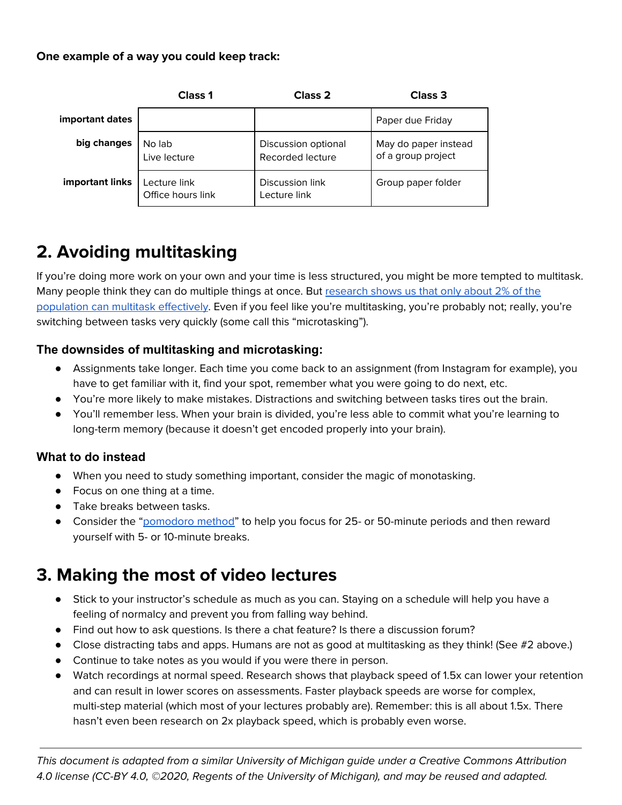#### **One example of a way you could keep track:**

|                 | <b>Class 1</b>                    | <b>Class 2</b>                          | <b>Class 3</b>                             |
|-----------------|-----------------------------------|-----------------------------------------|--------------------------------------------|
| important dates |                                   |                                         | Paper due Friday                           |
| big changes     | No lab<br>Live lecture            | Discussion optional<br>Recorded lecture | May do paper instead<br>of a group project |
| important links | Lecture link<br>Office hours link | Discussion link<br>Lecture link         | Group paper folder                         |

# <span id="page-1-0"></span>**2. Avoiding multitasking**

If you're doing more work on your own and your time is less structured, you might be more tempted to multitask. Many people think they can do multiple things at once. But [research](https://primo.lclark.edu/permalink/f/1v7iusn/TN_springer_jour10.3758/s13423-014-0713-3) shows us that only about 2% of the [population](https://primo.lclark.edu/permalink/f/1v7iusn/TN_springer_jour10.3758/s13423-014-0713-3) can multitask effectively. Even if you feel like you're multitasking, you're probably not; really, you're switching between tasks very quickly (some call this "microtasking").

#### **The downsides of multitasking and microtasking:**

- Assignments take longer. Each time you come back to an assignment (from Instagram for example), you have to get familiar with it, find your spot, remember what you were going to do next, etc.
- You're more likely to make mistakes. Distractions and switching between tasks tires out the brain.
- You'll remember less. When your brain is divided, you're less able to commit what you're learning to long-term memory (because it doesn't get encoded properly into your brain).

#### **What to do instead**

- When you need to study something important, consider the magic of monotasking.
- Focus on one thing at a time.
- Take breaks between tasks.
- Consider the "[pomodoro](https://francescocirillo.com/pages/pomodoro-technique) method" to help you focus for 25- or 50-minute periods and then reward yourself with 5- or 10-minute breaks.

### <span id="page-1-1"></span>**3. Making the most of video lectures**

- Stick to your instructor's schedule as much as you can. Staying on a schedule will help you have a feeling of normalcy and prevent you from falling way behind.
- Find out how to ask questions. Is there a chat feature? Is there a discussion forum?
- Close distracting tabs and apps. Humans are not as good at multitasking as they think! (See #2 above.)
- Continue to take notes as you would if you were there in person.
- Watch recordings at normal speed. Research shows that playback speed of 1.5x can lower your retention and can result in lower scores on assessments. Faster playback speeds are worse for complex, multi-step material (which most of your lectures probably are). Remember: this is all about 1.5x. There hasn't even been research on 2x playback speed, which is probably even worse.

This document is adapted from a similar University of Michigan guide under a Creative Commons Attribution 4.0 license (CC-BY 4.0, ©2020, Regents of the University of Michigan), and may be reused and adapted.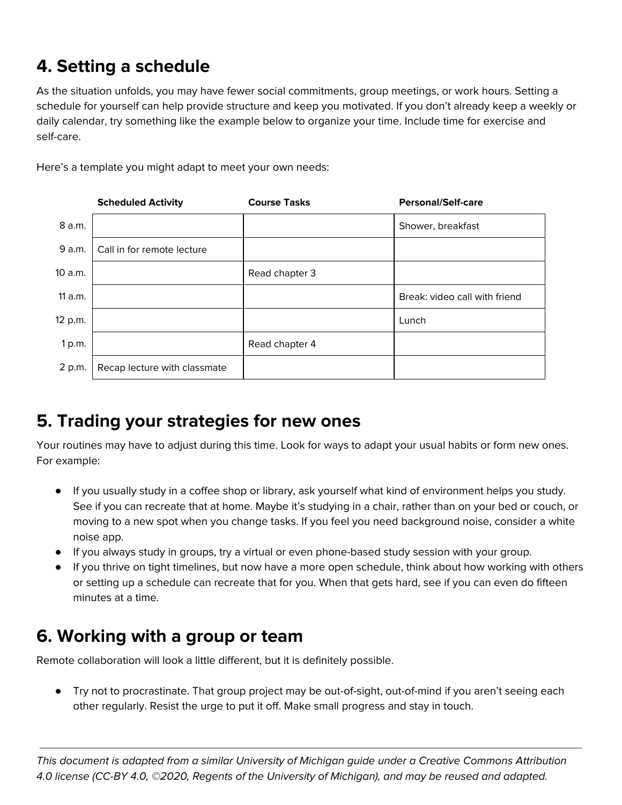# <span id="page-2-0"></span>**4. Setting a schedule**

As the situation unfolds, you may have fewer social commitments, group meetings, or work hours. Setting a schedule for yourself can help provide structure and keep you motivated. If you don't already keep a weekly or daily calendar, try something like the example below to organize your time. Include time for exercise and self-care.

Here's a template you might adapt to meet your own needs:

|         | <b>Scheduled Activity</b>    | <b>Course Tasks</b> | <b>Personal/Self-care</b>     |
|---------|------------------------------|---------------------|-------------------------------|
| 8 a.m.  |                              |                     | Shower, breakfast             |
| 9 a.m.  | Call in for remote lecture   |                     |                               |
| 10 a.m. |                              | Read chapter 3      |                               |
| 11a.m.  |                              |                     | Break: video call with friend |
| 12 p.m. |                              |                     | Lunch                         |
| 1 p.m.  |                              | Read chapter 4      |                               |
| 2 p.m.  | Recap lecture with classmate |                     |                               |

### <span id="page-2-1"></span>**5. Trading your strategies for new ones**

Your routines may have to adjust during this time. Look for ways to adapt your usual habits or form new ones. For example:

- If you usually study in a coffee shop or library, ask yourself what kind of environment helps you study. See if you can recreate that at home. Maybe it's studying in a chair, rather than on your bed or couch, or moving to a new spot when you change tasks. If you feel you need background noise, consider a white noise app.
- If you always study in groups, try a virtual or even phone-based study session with your group.
- If you thrive on tight timelines, but now have a more open schedule, think about how working with others or setting up a schedule can recreate that for you. When that gets hard, see if you can even do fifteen minutes at a time.

### <span id="page-2-2"></span>**6. Working with a group or team**

Remote collaboration will look a little different, but it is definitely possible.

● Try not to procrastinate. That group project may be out-of-sight, out-of-mind if you aren't seeing each other regularly. Resist the urge to put it off. Make small progress and stay in touch.

This document is adapted from a similar University of Michigan guide under a Creative Commons Attribution 4.0 license (CC-BY 4.0, ©2020, Regents of the University of Michigan), and may be reused and adapted.